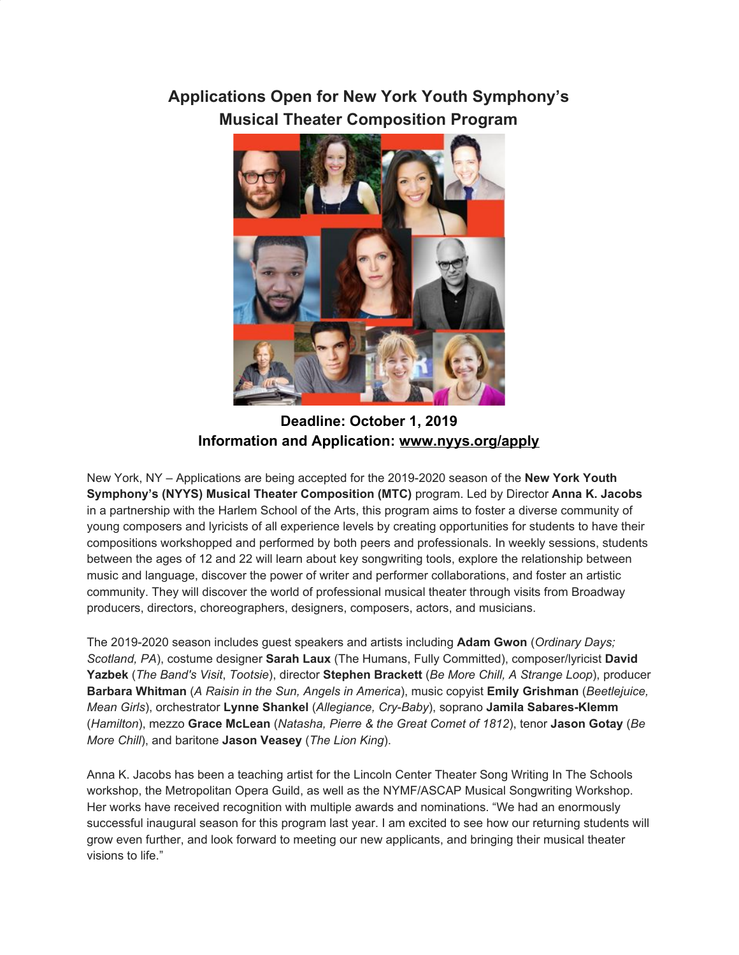## **Applications Open for New York Youth Symphony's Musical Theater Composition Program**



**Deadline: October 1, 2019 Information and Application: [www.nyys.org/apply](https://u7061146.ct.sendgrid.net/wf/click?upn=84Em28S1K9SvtzcUtu04EquIzbN7ebqIach-2BKV0gQXTPfBurR14uGEySF0LWDgjA_DruDjhchMBr5xQkz3h1qcOnjZc-2BCsAVhraQ7DxYhbA2-2BHLQf-2BHKWaWi2FTM7QHo-2Fd7eCMDRMAhfd2mcWSs-2FpzNW9MmuPwV7rH-2FbDd7DdSSanuUUua2qyel3oqgBfheYasaNJsOp4XaTuST0iVpxsIKSQEdMvX-2BeA7L5MKeBDMAN3e70aRqv1ay66DzVRuMwkN5vY-2BgZSmXkRdm22yxuD0j3a7TIlS29lfsgW3CZRSnghhTDSZyoPcoHOhE-2FM6beoWW6XaQGY01JGg2fNgVXVYr35cSN-2BNcgou0Qm3Pzt27V7LQF6hnPac-2BVF0INDAI5i1el1wL1RYl3jHLZaTFipMRdeioyVcryDzj-2FeCZy03m0-3D)**

New York, NY – Applications are being accepted for the 2019-2020 season of the **New York Youth Symphony's (NYYS) Musical Theater Composition (MTC)** program. Led by Director **Anna K. Jacobs** in a partnership with the Harlem School of the Arts, this program aims to foster a diverse community of young composers and lyricists of all experience levels by creating opportunities for students to have their compositions workshopped and performed by both peers and professionals. In weekly sessions, students between the ages of 12 and 22 will learn about key songwriting tools, explore the relationship between music and language, discover the power of writer and performer collaborations, and foster an artistic community. They will discover the world of professional musical theater through visits from Broadway producers, directors, choreographers, designers, composers, actors, and musicians.

The 2019-2020 season includes guest speakers and artists including **Adam Gwon** (*Ordinary Days; Scotland, PA*), costume designer **Sarah Laux** (The Humans, Fully Committed), composer/lyricist **David Yazbek** (*The Band's Visit*, *Tootsie*), director **Stephen Brackett** (*Be More Chill, A Strange Loop*), producer **Barbara Whitman** (*A Raisin in the Sun, Angels in America*), music copyist **Emily Grishman** (*Beetlejuice, Mean Girls*), orchestrator **Lynne Shankel** (*Allegiance, Cry-Baby*), soprano **Jamila Sabares-Klemm** (*Hamilton*), mezzo **Grace McLean** (*Natasha, Pierre & the Great Comet of 1812*), tenor **Jason Gotay** (*Be More Chill*), and baritone **Jason Veasey** (*The Lion King*).

Anna K. Jacobs has been a teaching artist for the Lincoln Center Theater Song Writing In The Schools workshop, the Metropolitan Opera Guild, as well as the NYMF/ASCAP Musical Songwriting Workshop. Her works have received recognition with multiple awards and nominations. "We had an enormously successful inaugural season for this program last year. I am excited to see how our returning students will grow even further, and look forward to meeting our new applicants, and bringing their musical theater visions to life."